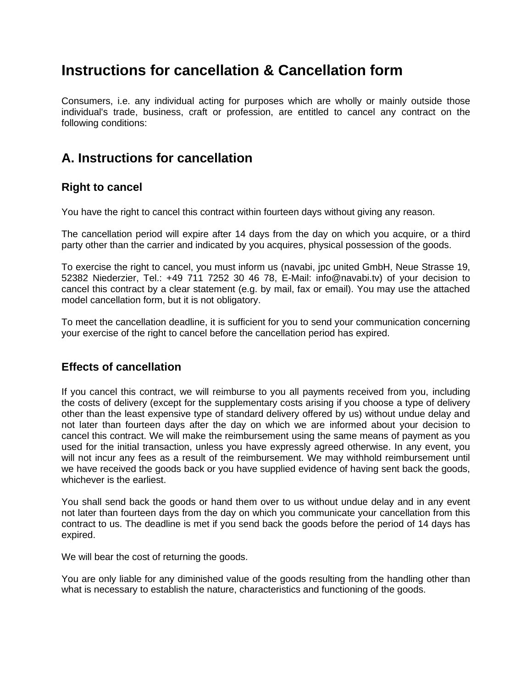# **Instructions for cancellation & Cancellation form**

Consumers, i.e. any individual acting for purposes which are wholly or mainly outside those individual's trade, business, craft or profession, are entitled to cancel any contract on the following conditions:

## **A. Instructions for cancellation**

### **Right to cancel**

You have the right to cancel this contract within fourteen days without giving any reason.

The cancellation period will expire after 14 days from the day on which you acquire, or a third party other than the carrier and indicated by you acquires, physical possession of the goods.

To exercise the right to cancel, you must inform us (navabi, jpc united GmbH, Neue Strasse 19, 52382 Niederzier, Tel.: +49 711 7252 30 46 78, E-Mail: info@navabi.tv) of your decision to cancel this contract by a clear statement (e.g. by mail, fax or email). You may use the attached model cancellation form, but it is not obligatory.

To meet the cancellation deadline, it is sufficient for you to send your communication concerning your exercise of the right to cancel before the cancellation period has expired.

#### **Effects of cancellation**

If you cancel this contract, we will reimburse to you all payments received from you, including the costs of delivery (except for the supplementary costs arising if you choose a type of delivery other than the least expensive type of standard delivery offered by us) without undue delay and not later than fourteen days after the day on which we are informed about your decision to cancel this contract. We will make the reimbursement using the same means of payment as you used for the initial transaction, unless you have expressly agreed otherwise. In any event, you will not incur any fees as a result of the reimbursement. We may withhold reimbursement until we have received the goods back or you have supplied evidence of having sent back the goods, whichever is the earliest.

You shall send back the goods or hand them over to us without undue delay and in any event not later than fourteen days from the day on which you communicate your cancellation from this contract to us. The deadline is met if you send back the goods before the period of 14 days has expired.

We will bear the cost of returning the goods.

You are only liable for any diminished value of the goods resulting from the handling other than what is necessary to establish the nature, characteristics and functioning of the goods.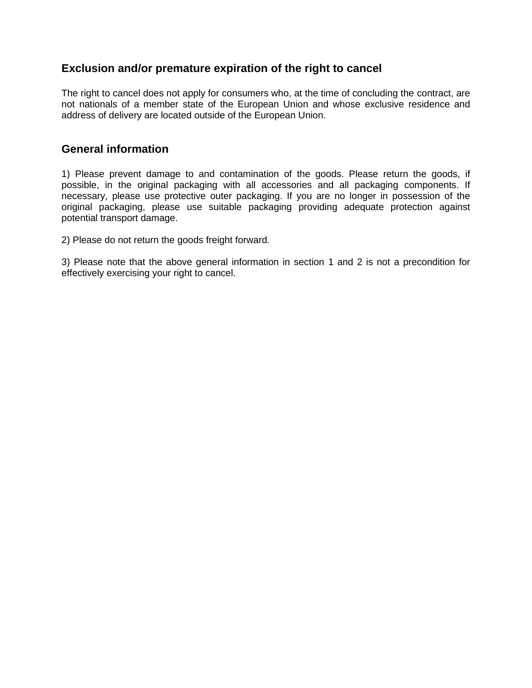#### **Exclusion and/or premature expiration of the right to cancel**

The right to cancel does not apply for consumers who, at the time of concluding the contract, are not nationals of a member state of the European Union and whose exclusive residence and address of delivery are located outside of the European Union.

#### **General information**

1) Please prevent damage to and contamination of the goods. Please return the goods, if possible, in the original packaging with all accessories and all packaging components. If necessary, please use protective outer packaging. If you are no longer in possession of the original packaging, please use suitable packaging providing adequate protection against potential transport damage.

2) Please do not return the goods freight forward.

3) Please note that the above general information in section 1 and 2 is not a precondition for effectively exercising your right to cancel.